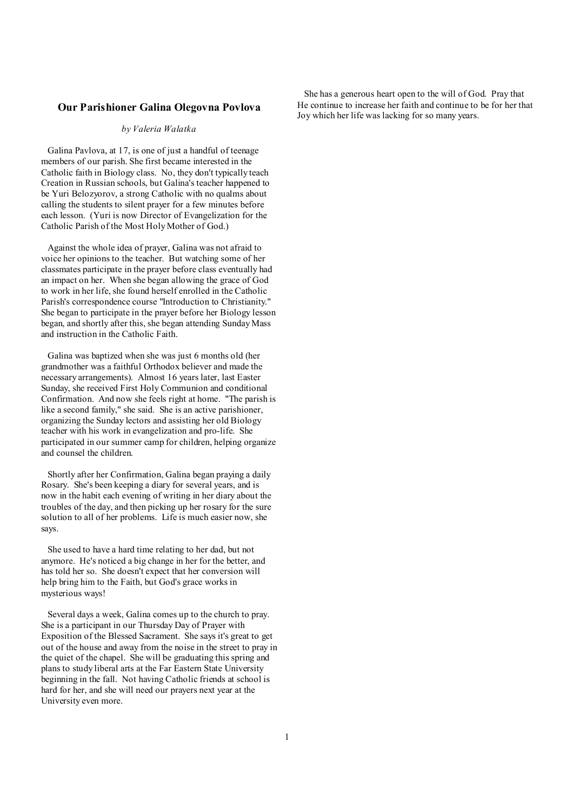#### **Our Parishioner Galina Olegovna Povlova**

#### *by Valeria Walatka*

Galina Pavlova, at 17, is one of just a handful of teenage members of our parish. She first became interested in the Catholic faith in Biology class. No, they don't typically teach Creation in Russian schools, but Galina's teacher happened to be Yuri Belozyorov, a strong Catholic with no qualms about calling the students to silent prayer for a few minutes before each lesson. (Yuri is now Director of Evangelization for the Catholic Parish of the Most Holy Mother of God.)

Against the whole idea of prayer, Galina was not afraid to voice her opinions to the teacher. But watching some of her classmates participate in the prayer before class eventually had an impact on her. When she began allowing the grace of God to work in her life, she found herself enrolled in the Catholic Parish's correspondence course "Introduction to Christianity." She began to participate in the prayer before her Biology lesson began, and shortly after this, she began attending Sunday Mass and instruction in the Catholic Faith.

Galina was baptized when she was just 6 months old (her grandmother was a faithful Orthodox believer and made the necessary arrangements). Almost 16 years later, last Easter Sunday, she received First Holy Communion and conditional Confirmation. And now she feels right at home. "The parish is like a second family," she said. She is an active parishioner, organizing the Sunday lectors and assisting her old Biology teacher with his work in evangelization and pro-life. She participated in our summer camp for children, helping organize and counsel the children.

Shortly after her Confirmation, Galina began praying a daily Rosary. She's been keeping a diary for several years, and is now in the habit each evening of writing in her diary about the troubles of the day, and then picking up her rosary for the sure solution to all of her problems. Life is much easier now, she says.

She used to have a hard time relating to her dad, but not anymore. He's noticed a big change in her for the better, and has told her so. She doesn't expect that her conversion will help bring him to the Faith, but God's grace works in mysterious ways!

Several days a week, Galina comes up to the church to pray. She is a participant in our Thursday Day of Prayer with Exposition of the Blessed Sacrament. She says it's great to get out of the house and away from the noise in the street to pray in the quiet of the chapel. She will be graduating this spring and plans to study liberal arts at the Far Eastern State University beginning in the fall. Not having Catholic friends at school is hard for her, and she will need our prayers next year at the University even more.

 She has a generous heart open to the will of God. Pray that He continue to increase her faith and continue to be for her that Joy which her life was lacking for so many years.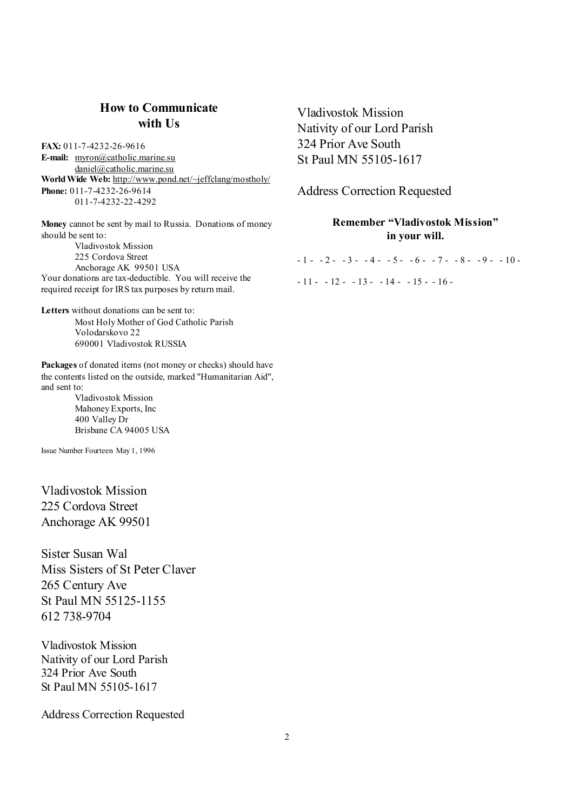# **How to Communicate with Us**

**FAX:** 011-7-4232-26-9616 **E-mail:** [myron@catholic.marine.su](mailto:myron@catholic.marine.su) [daniel@catholic.marine.su](mailto:daniel@catholic.marine.su) **World Wide Web:** <http://www.pond.net/~jeffclang/mostholy/> **Phone:** 011-7-4232-26-9614 011-7-4232-22-4292

**Money** cannot be sent by mail to Russia. Donations of money should be sent to: Vladivostok Mission

225 Cordova Street Anchorage AK 99501 USA Your donations are tax-deductible. You will receive the required receipt for IRS tax purposes by return mail.

**Letters** without donations can be sent to: Most Holy Mother of God Catholic Parish Volodarskovo 22 690001 Vladivostok RUSSIA

**Packages** of donated items (not money or checks) should have the contents listed on the outside, marked "Humanitarian Aid", and sent to:

> Vladivostok Mission Mahoney Exports, Inc 400 Valley Dr Brisbane CA 94005 USA

Issue Number Fourteen May 1, 1996

Vladivostok Mission 225 Cordova Street Anchorage AK 99501

Sister Susan Wal Miss Sisters of St Peter Claver 265 Century Ave St Paul MN 55125-1155 612 738-9704

Vladivostok Mission Nativity of our Lord Parish 324 Prior Ave South St Paul MN 55105-1617

Address Correction Requested

Vladivostok Mission Nativity of our Lord Parish 324 Prior Ave South St Paul MN 55105-1617

Address Correction Requested

# **Remember "Vladivostok Mission" in your will.**

 $-1 - -2 - -3 - -4 - -5 - -6 - -7 - -8 - -9 - -10$  $-11 - -12 - -13 - -14 - -15 - -16 -$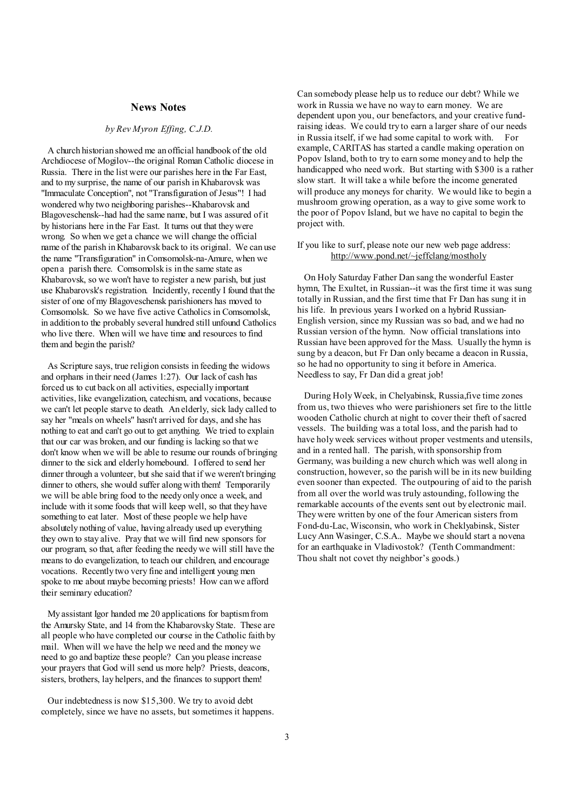#### **News Notes**

#### *by Rev Myron Effing, C.J.D.*

A church historian showed me an official handbook of the old Archdiocese of Mogilov--the original Roman Catholic diocese in Russia. There in the list were our parishes here in the Far East, and to my surprise, the name of our parish in Khabarovsk was "Immaculate Conception", not "Transfiguration of Jesus"! I had wondered why two neighboring parishes--Khabarovsk and Blagoveschensk--had had the same name, but I was assured of it by historians here in the Far East. It turns out that they were wrong. So when we get a chance we will change the official name of the parish in Khabarovsk back to its original. We can use the name "Transfiguration" inComsomolsk-na-Amure, when we open a parish there. Comsomolsk is in the same state as Khabarovsk, so we won't have to register a new parish, but just use Khabarovsk's registration. Incidently, recently I found that the sister of one of my Blagoveschensk parishioners has moved to Comsomolsk. So we have five active Catholics in Comsomolsk, in addition to the probably several hundred still unfound Catholics who live there. When will we have time and resources to find them and begin the parish?

As Scripture says, true religion consists in feeding the widows and orphans in their need (James 1:27). Our lack of cash has forced us to cut back on all activities, especially important activities, like evangelization, catechism, and vocations, because we can't let people starve to death. An elderly, sick lady called to say her "meals on wheels" hasn't arrived for days, and she has nothing to eat and can't go out to get anything. We tried to explain that our car was broken, and our funding is lacking so that we don't know when we will be able to resume our rounds of bringing dinner to the sick and elderly homebound. I offered to send her dinner through a volunteer, but she said that if we weren't bringing dinner to others, she would suffer along with them! Temporarily we will be able bring food to the needy only once a week, and include with itsome foods that will keep well, so that they have something to eat later. Most of these people we help have absolutely nothing of value, having already used up everything they own to stay alive. Pray that we will find new sponsors for our program, so that, after feeding the needy we will still have the means to do evangelization, to teach our children, and encourage vocations. Recently two very fine and intelligent young men spoke to me about maybe becoming priests! How can we afford their seminary education?

My assistant Igor handed me 20 applications for baptismfrom the Amursky State, and 14 from the Khabarovsky State. These are all people who have completed our course in the Catholic faith by mail. When will we have the help we need and the money we need to go and baptize these people? Can you please increase your prayers that God will send us more help? Priests, deacons, sisters, brothers, lay helpers, and the finances to support them!

Our indebtedness is now \$15,300. We try to avoid debt completely, since we have no assets, but sometimes it happens. Can somebody please help us to reduce our debt? While we work in Russia we have no way to earn money. We are dependent upon you, our benefactors, and your creative fundraising ideas. We could try to earn a larger share of our needs in Russia itself, if we had some capital to work with. For example, CARITAS has started a candle making operation on Popov Island, both to try to earn some money and to help the handicapped who need work. But starting with \$300 is a rather slow start. It will take a while before the income generated will produce any moneys for charity. We would like to begin a mushroom growing operation, as a way to give some work to the poor of Popov Island, but we have no capital to begin the project with.

If you like to surf, please note our new web page address: <http://www.pond.net/~jeffclang/mostholy>

 On Holy Saturday Father Dan sang the wonderful Easter hymn, The Exultet, in Russian--it was the first time it was sung totally in Russian, and the first time that Fr Dan has sung it in his life. In previous years I worked on a hybrid Russian-English version, since my Russian was so bad, and we had no Russian version of the hymn. Now official translations into Russian have been approved for the Mass. Usually the hymn is sung by a deacon, but Fr Dan only became a deacon in Russia, so he had no opportunity to sing it before in America. Needless to say, Fr Dan did a great job!

 During HolyWeek, in Chelyabinsk, Russia,five time zones from us, two thieves who were parishioners set fire to the little wooden Catholic church at night to cover their theft of sacred vessels. The building was a total loss, and the parish had to have holy week services without proper vestments and utensils, and in a rented hall. The parish, with sponsorship from Germany, was building a new church which was well along in construction, however, so the parish will be in its new building even sooner than expected. The outpouring of aid to the parish from all over the world was truly astounding, following the remarkable accounts of the events sent out by electronic mail. They were written by one of the four American sisters from Fond-du-Lac, Wisconsin, who work in Cheklyabinsk, Sister Lucy Ann Wasinger, C.S.A.. Maybe we should start a novena for an earthquake in Vladivostok? (Tenth Commandment: Thou shalt not covet thy neighbor's goods.)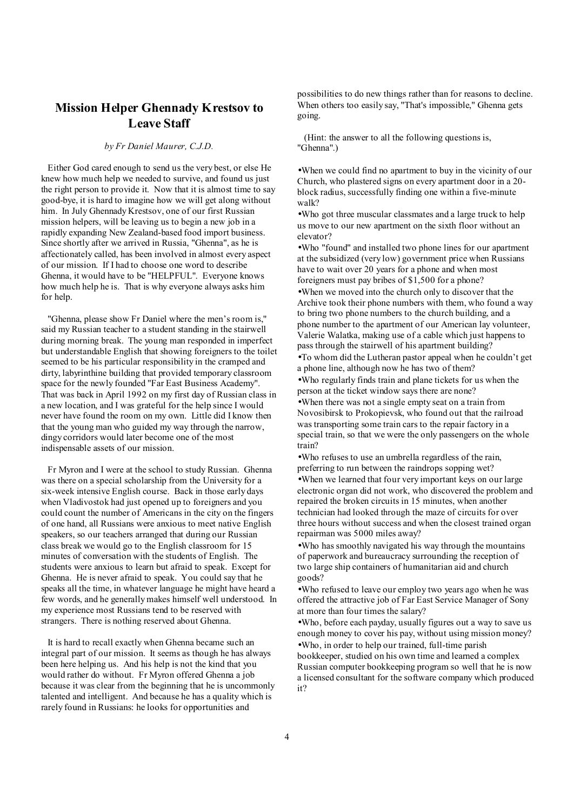# **Mission Helper Ghennady Krestsov to Leave Staff**

### *by Fr Daniel Maurer, C.J.D.*

Either God cared enough to send us the very best, or else He knew how much help we needed to survive, and found us just the right person to provide it. Now that it is almost time to say good-bye, it is hard to imagine how we will get along without him. In July Ghennady Krestsov, one of our first Russian mission helpers, will be leaving us to begin a new job in a rapidly expanding New Zealand-based food import business. Since shortly after we arrived in Russia, "Ghenna", as he is affectionately called, has been involved in almost every aspect of our mission. If I had to choose one word to describe Ghenna, it would have to be "HELPFUL". Everyone knows how much help he is. That is why everyone always asks him for help.

"Ghenna, please show Fr Daniel where the men's room is," said my Russian teacher to a student standing in the stairwell during morning break. The young man responded in imperfect but understandable English that showing foreigners to the toilet seemed to be his particular responsibility in the cramped and dirty, labyrinthine building that provided temporary classroom space for the newly founded "Far East Business Academy". That was back in April 1992 on my first day of Russian class in a new location, and I was grateful for the help since I would never have found the room on my own. Little did I know then that the young man who guided my way through the narrow, dingy corridors would later become one of the most indispensable assets of our mission.

Fr Myron and I were at the school to study Russian. Ghenna was there on a special scholarship from the University for a six-week intensive English course. Back in those early days when Vladivostok had just opened up to foreigners and you could count the number of Americans in the city on the fingers of one hand, all Russians were anxious to meet native English speakers, so our teachers arranged that during our Russian class break we would go to the English classroom for 15 minutes of conversation with the students of English. The students were anxious to learn but afraid to speak. Except for Ghenna. He is never afraid to speak. You could say that he speaks all the time, in whatever language he might have heard a few words, and he generally makes himself well understood. In my experience most Russians tend to be reserved with strangers. There is nothing reserved about Ghenna.

It is hard to recall exactly when Ghenna became such an integral part of our mission. It seems as though he has always been here helping us. And his help is not the kind that you would rather do without. Fr Myron offered Ghenna a job because it was clear from the beginning that he is uncommonly talented and intelligent. And because he has a quality which is rarely found in Russians: he looks for opportunities and

possibilities to do new things rather than for reasons to decline. When others too easily say, "That's impossible," Ghenna gets going.

 (Hint: the answer to all the following questions is, "Ghenna".)

•When we could find no apartment to buy in the vicinity of our Church, who plastered signs on every apartment door in a 20 block radius, successfully finding one within a five-minute walk?

•Who got three muscular classmates and a large truck to help us move to our new apartment on the sixth floor without an elevator?

•Who "found" and installed two phone lines for our apartment at the subsidized (very low) government price when Russians have to wait over 20 years for a phone and when most foreigners must pay bribes of \$1,500 for a phone?

•When we moved into the church only to discover that the Archive took their phone numbers with them, who found a way to bring two phone numbers to the church building, and a phone number to the apartment of our American lay volunteer, Valerie Walatka, making use of a cable which just happens to pass through the stairwell of his apartment building?

•To whom did the Lutheran pastor appeal when he couldn't get a phone line, although now he has two of them?

•Who regularly finds train and plane tickets for us when the person at the ticket window says there are none?

•When there was not a single empty seat on a train from Novosibirsk to Prokopievsk, who found out that the railroad was transporting some train cars to the repair factory in a special train, so that we were the only passengers on the whole train?

•Who refuses to use an umbrella regardless of the rain, preferring to run between the raindrops sopping wet? •When we learned that four very important keys on our large electronic organ did not work, who discovered the problem and repaired the broken circuits in 15 minutes, when another technician had looked through the maze of circuits for over three hours without success and when the closest trained organ repairman was 5000 miles away?

•Who has smoothly navigated his way through the mountains of paperwork and bureaucracy surrounding the reception of two large ship containers of humanitarian aid and church goods?

•Who refused to leave our employ two years ago when he was offered the attractive job of Far East Service Manager of Sony at more than four times the salary?

•Who, before each payday, usually figures out a way to save us enough money to cover his pay, without using mission money? •Who, in order to help our trained, full-time parish

bookkeeper, studied on his own time and learned a complex Russian computer bookkeeping program so well that he is now a licensed consultant for the software company which produced it?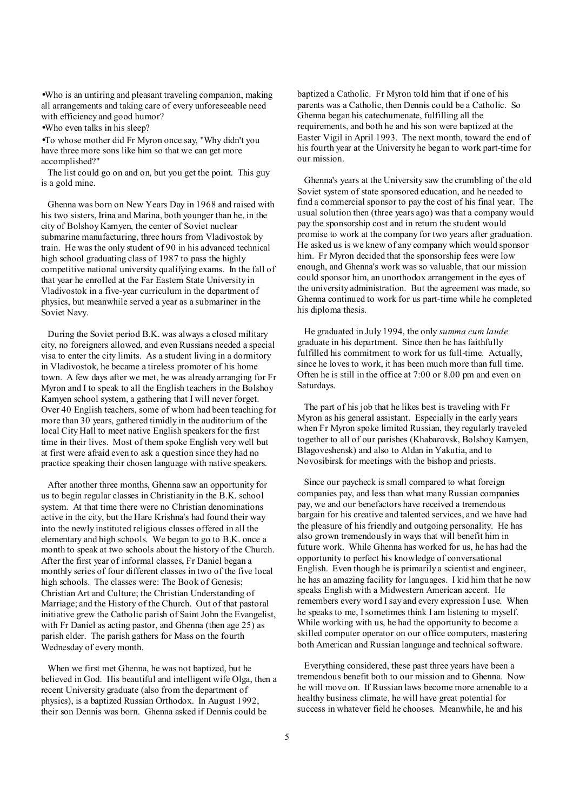•Who is an untiring and pleasant traveling companion, making all arrangements and taking care of every unforeseeable need with efficiency and good humor?

•Who even talks in his sleep?

•To whose mother did Fr Myron once say, "Why didn't you have three more sons like him so that we can get more accomplished?"

The list could go on and on, but you get the point. This guy is a gold mine.

Ghenna was born on New Years Day in 1968 and raised with his two sisters, Irina and Marina, both younger than he, in the city of Bolshoy Kamyen, the center of Soviet nuclear submarine manufacturing, three hours from Vladivostok by train. He was the only student of 90 in his advanced technical high school graduating class of 1987 to pass the highly competitive national university qualifying exams. In the fall of that year he enrolled at the Far Eastern State University in Vladivostok in a five-year curriculum in the department of physics, but meanwhile served a year as a submariner in the Soviet Navy.

During the Soviet period B.K. was always a closed military city, no foreigners allowed, and even Russians needed a special visa to enter the city limits. As a student living in a dormitory in Vladivostok, he became a tireless promoter of his home town. A few days after we met, he was already arranging for Fr Myron and I to speak to all the English teachers in the Bolshoy Kamyen school system, a gathering that I will never forget. Over 40 English teachers, some of whom had been teaching for more than 30 years, gathered timidly in the auditorium of the local City Hall to meet native English speakers for the first time in their lives. Most of them spoke English very well but at first were afraid even to ask a question since they had no practice speaking their chosen language with native speakers.

After another three months, Ghenna saw an opportunity for us to begin regular classes in Christianity in the B.K. school system. At that time there were no Christian denominations active in the city, but the Hare Krishna's had found their way into the newly instituted religious classes offered in all the elementary and high schools. We began to go to B.K. once a month to speak at two schools about the history of the Church. After the first year of informal classes, Fr Daniel began a monthly series of four different classes in two of the five local high schools. The classes were: The Book of Genesis; Christian Art and Culture; the Christian Understanding of Marriage; and the History of the Church. Out of that pastoral initiative grew the Catholic parish of Saint John the Evangelist, with Fr Daniel as acting pastor, and Ghenna (then age 25) as parish elder. The parish gathers for Mass on the fourth Wednesday of every month.

When we first met Ghenna, he was not baptized, but he believed in God. His beautiful and intelligent wife Olga, then a recent University graduate (also from the department of physics), is a baptized Russian Orthodox. In August 1992, their son Dennis was born. Ghenna asked if Dennis could be

baptized a Catholic. Fr Myron told him that if one of his parents was a Catholic, then Dennis could be a Catholic. So Ghenna began his catechumenate, fulfilling all the requirements, and both he and his son were baptized at the Easter Vigil in April 1993. The next month, toward the end of his fourth year at the University he began to work part-time for our mission.

 Ghenna's years at the University saw the crumbling of the old Soviet system of state sponsored education, and he needed to find a commercial sponsor to pay the cost of his final year. The usual solution then (three years ago) was that a company would pay the sponsorship cost and in return the student would promise to work at the company for two years after graduation. He asked us is we knew of any company which would sponsor him. Fr Myron decided that the sponsorship fees were low enough, and Ghenna's work was so valuable, that our mission could sponsor him, an unorthodox arrangement in the eyes of the university administration. But the agreement was made, so Ghenna continued to work for us part-time while he completed his diploma thesis.

 He graduated in July 1994, the only *summa cum laude* graduate in his department. Since then he has faithfully fulfilled his commitment to work for us full-time. Actually, since he loves to work, it has been much more than full time. Often he is still in the office at 7:00 or 8.00 pm and even on Saturdays.

 The part of his job that he likes best is traveling with Fr Myron as his general assistant. Especially in the early years when Fr Myron spoke limited Russian, they regularly traveled together to all of our parishes (Khabarovsk, Bolshoy Kamyen, Blagoveshensk) and also to Aldan in Yakutia, and to Novosibirsk for meetings with the bishop and priests.

 Since our paycheck is small compared to what foreign companies pay, and less than what many Russian companies pay, we and our benefactors have received a tremendous bargain for his creative and talented services, and we have had the pleasure of his friendly and outgoing personality. He has also grown tremendously in ways that will benefit him in future work. While Ghenna has worked for us, he has had the opportunity to perfect his knowledge of conversational English. Even though he is primarily a scientist and engineer, he has an amazing facility for languages. I kid him that he now speaks English with a Midwestern American accent. He remembers every word I say and every expression I use. When he speaks to me, Isometimes think I am listening to myself. While working with us, he had the opportunity to become a skilled computer operator on our office computers, mastering both American and Russian language and technical software.

 Everything considered, these past three years have been a tremendous benefit both to our mission and to Ghenna. Now he will move on. If Russian laws become more amenable to a healthy business climate, he will have great potential for success in whatever field he chooses. Meanwhile, he and his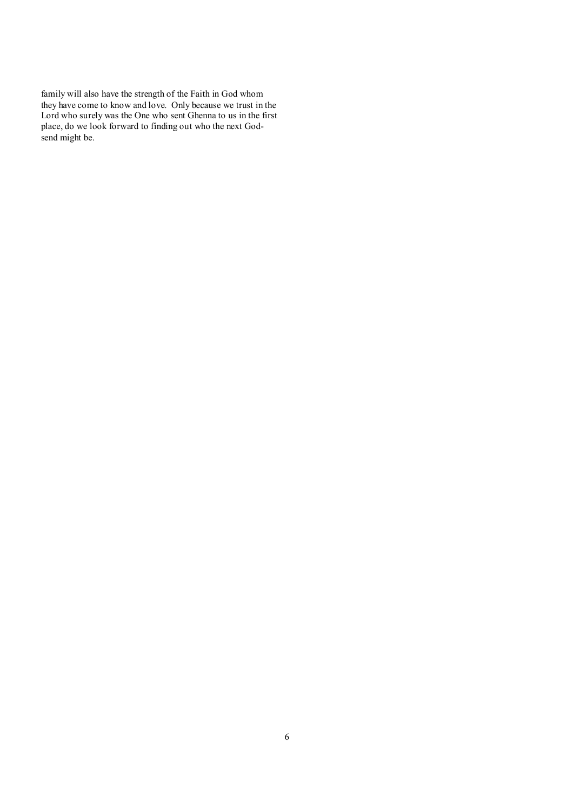family will also have the strength of the Faith in God whom they have come to know and love. Only because we trust in the Lord who surely was the One who sent Ghenna to us in the first place, do we look forward to finding out who the next Godsend might be.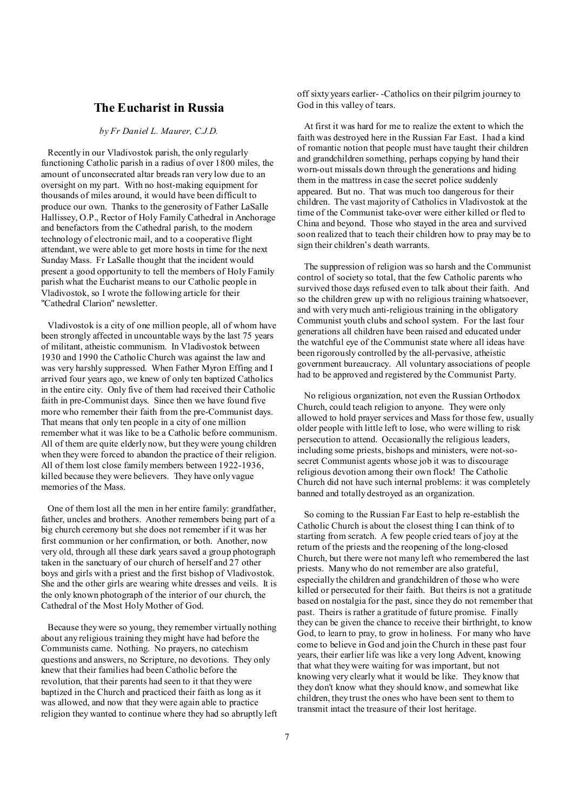## **The Eucharist in Russia**

### *by Fr Daniel L. Maurer, C.J.D.*

Recently in our Vladivostok parish, the only regularly functioning Catholic parish in a radius of over 1800 miles, the amount of unconsecrated altar breads ran very low due to an oversight on my part. With no host-making equipment for thousands of miles around, it would have been difficult to produce our own. Thanks to the generosity of Father LaSalle Hallissey, O.P., Rector of Holy Family Cathedral in Anchorage and benefactors from the Cathedral parish, to the modern technology of electronic mail, and to a cooperative flight attendant, we were able to get more hosts in time for the next Sunday Mass. Fr LaSalle thought that the incident would present a good opportunity to tell the members of Holy Family parish what the Eucharist means to our Catholic people in Vladivostok, so I wrote the following article for their "Cathedral Clarion" newsletter.

Vladivostok is a city of one million people, all of whom have been strongly affected in uncountable ways by the last 75 years of militant, atheistic communism. In Vladivostok between 1930 and 1990 the Catholic Church was against the law and was very harshly suppressed. When Father Myron Effing and I arrived four years ago, we knew of only ten baptized Catholics in the entire city. Only five of them had received their Catholic faith in pre-Communist days. Since then we have found five more who remember their faith from the pre-Communist days. That means that only ten people in a city of one million remember what it was like to be a Catholic before communism. All of them are quite elderly now, but they were young children when they were forced to abandon the practice of their religion. All of them lost close familymembers between 1922-1936, killed because they were believers. They have only vague memories of the Mass.

One of them lost all the men in her entire family: grandfather, father, uncles and brothers. Another remembers being part of a big church ceremony but she does not remember if it was her first communion or her confirmation, or both. Another, now very old, through all these dark years saved a group photograph taken in the sanctuary of our church of herself and 27 other boys and girls with a priest and the first bishop of Vladivostok. She and the other girls are wearing white dresses and veils. It is the only known photograph of the interior of our church, the Cathedral of the Most Holy Mother of God.

Because they were so young, they remember virtually nothing about any religious training they might have had before the Communists came. Nothing. No prayers, no catechism questions and answers, no Scripture, no devotions. They only knew that their families had been Catholic before the revolution, that their parents had seen to it that they were baptized in the Church and practiced their faith as long as it was allowed, and now that they were again able to practice religion they wanted to continue where they had so abruptly left off sixty years earlier- -Catholics on their pilgrim journey to God in this valley of tears.

 At first it was hard for me to realize the extent to which the faith was destroyed here in the Russian Far East. I had a kind of romantic notion that people must have taught their children and grandchildren something, perhaps copying by hand their worn-out missals down through the generations and hiding them in the mattress in case the secret police suddenly appeared. But no. That was much too dangerous for their children. The vast majority of Catholics in Vladivostok at the time of the Communist take-over were either killed or fled to China and beyond. Those who stayed in the area and survived soon realized that to teach their children how to pray may be to sign their children's death warrants.

 The suppression of religion was so harsh and the Communist control of society so total, that the few Catholic parents who survived those days refused even to talk about their faith. And so the children grew up with no religious training whatsoever, and with very much anti-religious training in the obligatory Communist youth clubs and school system. For the last four generations all children have been raised and educated under the watchful eye of the Communist state where all ideas have been rigorously controlled by the all-pervasive, atheistic government bureaucracy. All voluntary associations of people had to be approved and registered by the Communist Party.

 No religious organization, not even the Russian Orthodox Church, could teach religion to anyone. They were only allowed to hold prayer services and Mass for those few, usually older people with little left to lose, who were willing to risk persecution to attend. Occasionally the religious leaders, including some priests, bishops and ministers, were not-sosecret Communist agents whose job it was to discourage religious devotion among their own flock! The Catholic Church did not have such internal problems: it was completely banned and totally destroyed as an organization.

 So coming to the Russian Far East to help re-establish the Catholic Church is about the closest thing I can think of to starting from scratch. A few people cried tears of joy at the return of the priests and the reopening of the long-closed Church, but there were not many left who remembered the last priests. Many who do not remember are also grateful, especially the children and grandchildren of those who were killed or persecuted for their faith. But theirs is not a gratitude based on nostalgia for the past, since they do not remember that past. Theirs is rather a gratitude of future promise. Finally they can be given the chance to receive their birthright, to know God, to learn to pray, to grow in holiness. For many who have come to believe in God and join the Church in these past four years, their earlier life was like a very long Advent, knowing that what they were waiting for was important, but not knowing very clearly what it would be like. They know that they don't know what they should know, and somewhat like children, they trust the ones who have been sent to them to transmit intact the treasure of their lost heritage.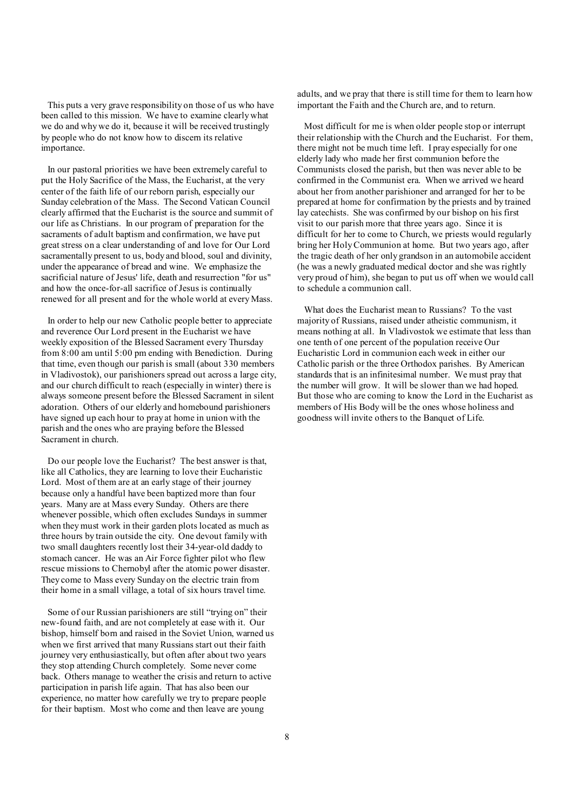This puts a very grave responsibility on those of us who have been called to this mission. We have to examine clearly what we do and why we do it, because it will be received trustingly by people who do not know how to discern its relative importance.

In our pastoral priorities we have been extremely careful to put the Holy Sacrifice of the Mass, the Eucharist, at the very center of the faith life of our reborn parish, especially our Sunday celebration of the Mass. The Second Vatican Council clearly affirmed that the Eucharist is the source and summit of our life as Christians. In our program of preparation for the sacraments of adult baptism and confirmation, we have put great stress on a clear understanding of and love for Our Lord sacramentally present to us, body and blood, soul and divinity, under the appearance of bread and wine. We emphasize the sacrificial nature of Jesus' life, death and resurrection "for us" and how the once-for-all sacrifice of Jesus is continually renewed for all present and for the whole world at every Mass.

In order to help our new Catholic people better to appreciate and reverence Our Lord present in the Eucharist we have weekly exposition of the Blessed Sacrament every Thursday from 8:00 am until 5:00 pm ending with Benediction. During that time, even though our parish is small (about 330 members in Vladivostok), our parishioners spread out across a large city, and our church difficult to reach (especially in winter) there is always someone present before the Blessed Sacrament in silent adoration. Others of our elderly and homebound parishioners have signed up each hour to pray at home in union with the parish and the ones who are praying before the Blessed Sacrament in church.

Do our people love the Eucharist? The best answer is that, like all Catholics, they are learning to love their Eucharistic Lord. Most of them are at an early stage of their journey because only a handful have been baptized more than four years. Many are at Mass every Sunday. Others are there whenever possible, which often excludes Sundays in summer when they must work in their garden plots located as much as three hours by train outside the city. One devout family with two small daughters recently lost their 34-year-old daddy to stomach cancer. He was an Air Force fighter pilot who flew rescue missions to Chernobyl after the atomic power disaster. They come to Mass every Sunday on the electric train from their home in a small village, a total of six hours travel time.

Some of our Russian parishioners are still "trying on" their new-found faith, and are not completely at ease with it. Our bishop, himself born and raised in the Soviet Union, warned us when we first arrived that many Russians start out their faith journey very enthusiastically, but often after about two years they stop attending Church completely. Some never come back. Others manage to weather the crisis and return to active participation in parish life again. That has also been our experience, no matter how carefully we try to prepare people for their baptism. Most who come and then leave are young

adults, and we pray that there is still time for them to learn how important the Faith and the Church are, and to return.

 Most difficult for me is when older people stop or interrupt their relationship with the Church and the Eucharist. For them, there might not be much time left. I pray especially for one elderly lady who made her first communion before the Communists closed the parish, but then was never able to be confirmed in the Communist era. When we arrived we heard about her from another parishioner and arranged for her to be prepared at home for confirmation by the priests and by trained lay catechists. She was confirmed by our bishop on his first visit to our parish more that three years ago. Since it is difficult for her to come to Church, we priests would regularly bring her HolyCommunion at home. But two years ago, after the tragic death of her only grandson in an automobile accident (he was a newly graduated medical doctor and she was rightly very proud of him), she began to put us off when we would call to schedule a communion call.

 What does the Eucharist mean to Russians? To the vast majority of Russians, raised under atheistic communism, it means nothing at all. In Vladivostok we estimate that less than one tenth of one percent of the population receive Our Eucharistic Lord in communion each week in either our Catholic parish or the three Orthodox parishes. By American standards that is an infinitesimal number. We must pray that the number will grow. It will be slower than we had hoped. But those who are coming to know the Lord in the Eucharist as members of His Body will be the ones whose holiness and goodness will invite others to the Banquet of Life.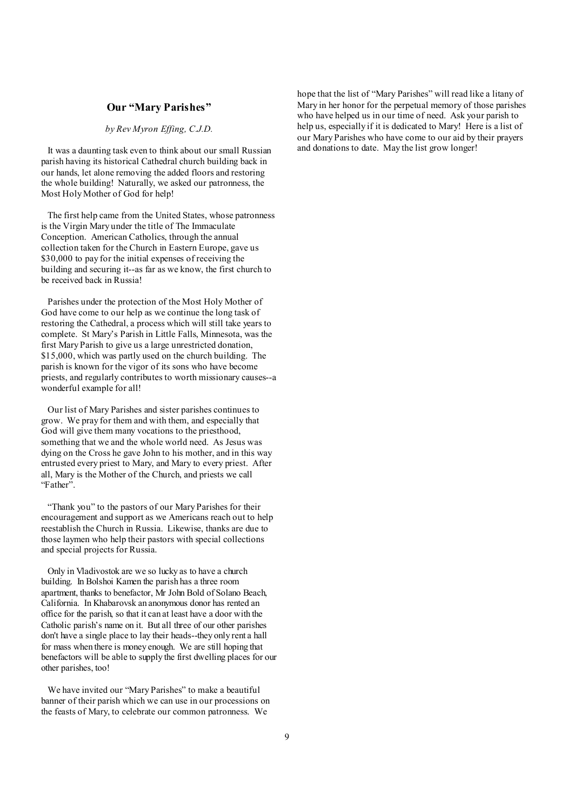#### **Our "Mary Parishes"**

*by Rev Myron Effing, C.J.D.* 

It was a daunting task even to think about our small Russian parish having its historical Cathedral church building back in our hands, let alone removing the added floors and restoring the whole building! Naturally, we asked our patronness, the Most Holy Mother of God for help!

The first help came from the United States, whose patronness is the Virgin Mary under the title of The Immaculate Conception. American Catholics, through the annual collection taken for the Church in Eastern Europe, gave us \$30,000 to pay for the initial expenses of receiving the building and securing it--as far as we know, the first church to be received back in Russia!

Parishes under the protection of the Most Holy Mother of God have come to our help as we continue the long task of restoring the Cathedral, a process which will still take years to complete. St Mary's Parish in Little Falls, Minnesota, was the first Mary Parish to give us a large unrestricted donation, \$15,000, which was partly used on the church building. The parish is known for the vigor of its sons who have become priests, and regularly contributes to worth missionary causes--a wonderful example for all!

Our list of Mary Parishes and sister parishes continues to grow. We pray for them and with them, and especially that God will give them many vocations to the priesthood, something that we and the whole world need. As Jesus was dying on the Cross he gave John to his mother, and in this way entrusted every priest to Mary, and Mary to every priest. After all, Mary is the Mother of the Church, and priests we call "Father".

"Thank you" to the pastors of our Mary Parishes for their encouragement and support as we Americans reach out to help reestablish the Church in Russia. Likewise, thanks are due to those laymen who help their pastors with special collections and special projects for Russia.

Only in Vladivostok are we so lucky as to have a church building. In Bolshoi Kamen the parish has a three room apartment, thanks to benefactor, Mr John Bold of Solano Beach, California. In Khabarovsk an anonymous donor has rented an office for the parish, so that it can at least have a door with the Catholic parish's name on it. But all three of our other parishes don't have a single place to lay their heads--they only rent a hall for mass when there is money enough. We are still hoping that benefactors will be able to supply the first dwelling places for our other parishes, too!

We have invited our "Mary Parishes" to make a beautiful banner of their parish which we can use in our processions on the feasts of Mary, to celebrate our common patronness. We

hope that the list of "Mary Parishes" will read like a litany of Mary in her honor for the perpetual memory of those parishes who have helped us in our time of need. Ask your parish to help us, especially if it is dedicated to Mary! Here is a list of our Mary Parishes who have come to our aid by their prayers and donations to date. May the list grow longer!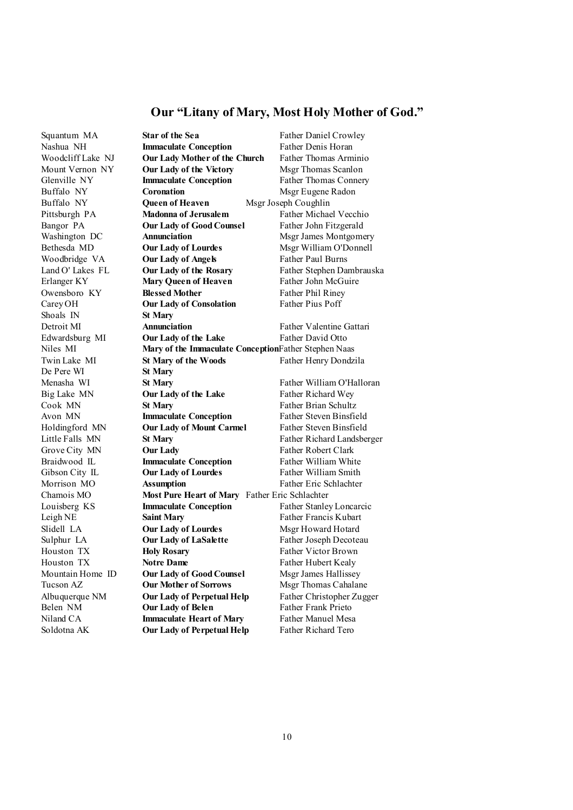## **Our "Litany of Mary, Most Holy Mother of God."**

Shoals IN **St Mary**  De Pere WI **St Mary** 

Squantum MA **Star of the Sea** Father Daniel Crowley Nashua NH **Immaculate Conception** Father Denis Horan Woodcliff Lake NJ **Our Lady Mother of the Church** Father Thomas Arminio Mount Vernon NY **Our Lady of the Victory** Msgr Thomas Scanlon Glenville NY **Immaculate Conception** Father Thomas Connery **Buffalo NY Coronation Coronation Msgr Eugene Radon** Buffalo NY **Queen of Heaven** Msgr Joseph Coughlin Pittsburgh PA **Madonna of Jerusalem** Father Michael Vecchio Bangor PA **Our Lady of GoodCounsel** Father John Fitzgerald Washington DC **Annunciation** Msgr James Montgomery Bethesda MD **Our Lady of Lourdes** Msgr William O'Donnell Woodbridge VA **Our Lady of Angels** Father Paul Burns Land O' Lakes FL **Our Lady of the Rosary** Father Stephen Dambrauska Erlanger KY **Mary Queen of Heaven** Father John McGuire Owensboro KY **Blessed Mother** Father Phil Riney Carey OH **Our Lady of Consolation** Father Pius Poff Detroit MI **Annunciation** Father Valentine Gattari Edwardsburg MI **Our Lady of the Lake** Father David Otto Niles MI **Mary of the Immaculate Conception**Father Stephen Naas Twin Lake MI **St Mary of the Woods** Father Henry Dondzila Menasha WI **St Mary** Father William O'Halloran Big Lake MN **Our Lady of the Lake** Father Richard Wey Cook MN **St Mary** Father Brian Schultz Avon MN **Immaculate Conception** Father Steven Binsfield Holdingford MN **Our Lady of Mount Carmel** Father Steven Binsfield Little Falls MN **St Mary** Father Richard Landsberger Grove City MN **Our Lady Father Robert Clark** Braidwood IL **Immaculate Conception** Father William White Gibson City IL **Our Lady of Lourdes** Father William Smith Morrison MO **Assumption** Father Eric Schlachter Chamois MO **Most Pure Heart of Mary** Father Eric Schlachter Louisberg KS **Immaculate Conception** Father StanleyLoncarcic Leigh NE **Saint Mary** Father Francis Kubart Slidell LA **Our Lady of Lourdes** Msgr Howard Hotard Sulphur LA **Our Lady of LaSalette** Father Joseph Decoteau Houston TX **Holy Rosary** Father Victor Brown Houston TX **Notre Dame** Father Hubert Kealy Mountain Home ID **Our Lady of GoodCounsel** Msgr James Hallissey Tucson AZ **Our Mother of Sorrows** Msgr Thomas Cahalane Albuquerque NM **Our Lady of Perpetual Help** Father Christopher Zugger Belen NM **Our Lady of Belen** Father Frank Prieto Niland CA **Immaculate Heart of Mary** Father Manuel Mesa Soldotna AK **Our Lady of Perpetual Help** Father Richard Tero